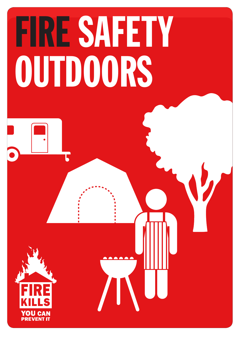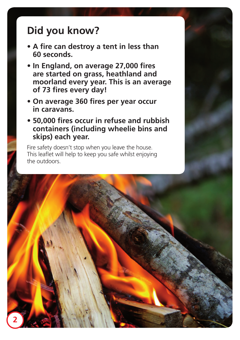## **Did you know?**

- **A fire can destroy a tent in less than 60 seconds.**
- **In England, on average 27,000 fires are started on grass, heathland and moorland every year. This is an average of 73 fires every day!**
- **On average 360 fires per year occur in caravans.**
- **50,000 fires occur in refuse and rubbish containers (including wheelie bins and skips) each year.**

Fire safety doesn't stop when you leave the house. This leaflet will help to keep you safe whilst enjoying the outdoors.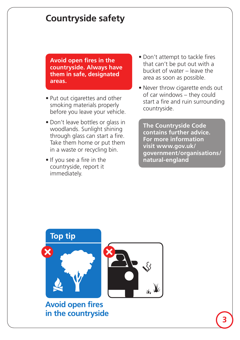## **Countryside safety**

 **Avoid open fires in the countryside. Always have them in safe, designated areas.**

- Put out cigarettes and other smoking materials properly before you leave your vehicle.
- Don't leave bottles or glass in woodlands. Sunlight shining through glass can start a fire. Take them home or put them in a waste or recycling bin.
- If you see a fire in the countryside, report it immediately.
- Don't attempt to tackle fires that can't be put out with a bucket of water – leave the area as soon as possible.
- Never throw cigarette ends out of car windows – they could start a fire and ruin surrounding countryside.

 **The Countryside Code contains further advice. For more information visit www.gov.uk/ government/organisations/ natural-england**



**Avoid open fires in the countryside**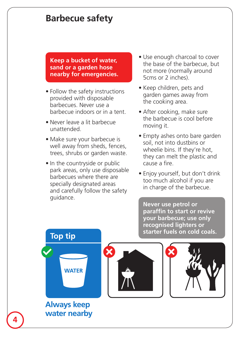## **Barbecue safety**

**Keep a bucket of water, sand or a garden hose nearby for emergencies.**

- Follow the safety instructions provided with disposable barbecues. Never use a barbecue indoors or in a tent.
- Never leave a lit barbecue unattended.
- Make sure your barbecue is well away from sheds, fences, trees, shrubs or garden waste.
- In the countryside or public park areas, only use disposable barbecues where there are specially designated areas and carefully follow the safety guidance.
- Use enough charcoal to cover the base of the barbecue, but not more (normally around 5cms or 2 inches).
- Keep children, pets and garden games away from the cooking area.
- After cooking, make sure the barbecue is cool before moving it.
- Empty ashes onto bare garden soil, not into dustbins or wheelie bins. If they're hot, they can melt the plastic and cause a fire.
- Enjoy yourself, but don't drink too much alcohol if you are in charge of the barbecue.

 **Never use petrol or paraffin to start or revive your barbecue; use only recognised lighters or starter fuels on cold coals.**



#### **Always keep water nearby 4**



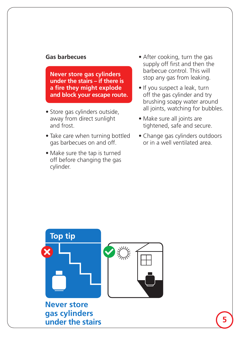#### **Gas barbecues**

 **Never store gas cylinders under the stairs – if there is a fire they might explode and block your escape route.**

- Store gas cylinders outside, away from direct sunlight and frost.
- Take care when turning bottled gas barbecues on and off.
- Make sure the tap is turned off before changing the gas cylinder.
- After cooking, turn the gas supply off first and then the barbecue control. This will stop any gas from leaking.
- If you suspect a leak, turn off the gas cylinder and try brushing soapy water around all joints, watching for bubbles.
- Make sure all joints are tightened, safe and secure.
- Change gas cylinders outdoors or in a well ventilated area.

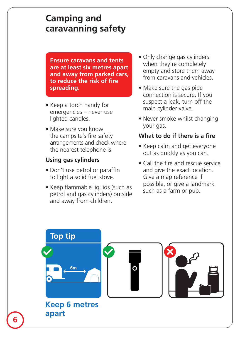## **Camping and caravanning safety**

**Ensure caravans and tents are at least six metres apart and away from parked cars, to reduce the risk of fire spreading.**

- Keep a torch handy for emergencies – never use lighted candles.
- Make sure you know the campsite's fire safety arrangements and check where  the nearest telephone is.

#### **Using gas cylinders**

- Don't use petrol or paraffin to light a solid fuel stove.
- Keep flammable liquids (such as petrol and gas cylinders) outside and away from children.
- Only change gas cylinders when they're completely empty and store them away from caravans and vehicles.
- Make sure the gas pipe connection is secure. If you suspect a leak, turn off the main cylinder valve.
- Never smoke whilst changing your gas.

#### **What to do if there is a fire**

- Keep calm and get everyone out as quickly as you can.
- Call the fire and rescue service and give the exact location. Give a map reference if possible, or give a landmark such as a farm or pub.

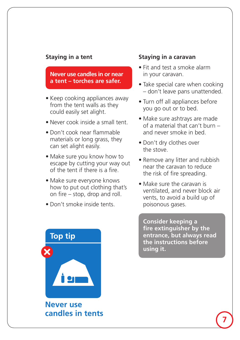#### **Staying in a tent**

#### **Never use candles in or near a tent – torches are safer.**

- Keep cooking appliances away from the tent walls as they could easily set alight.
- Never cook inside a small tent.
- • Don't cook near flammable materials or long grass, they can set alight easily.
- Make sure you know how to escape by cutting your way out of the tent if there is a fire.
- Make sure everyone knows how to put out clothing that's on fire – stop, drop and roll.
- • Don't smoke inside tents.



**Never use candles in tents**

#### **Staying in a caravan**

- Fit and test a smoke alarm in your caravan.
- Take special care when cooking – don't leave pans unattended.
- Turn off all appliances before you go out or to bed.
- Make sure ashtrays are made of a material that can't burn – and never smoke in bed.
- Don't dry clothes over the stove.
- Remove any litter and rubbish near the caravan to reduce the risk of fire spreading.
- Make sure the caravan is ventilated, and never block air vents, to avoid a build up of poisonous gases.

 **Consider keeping a fire extinguisher by the entrance, but always read the instructions before using it.**